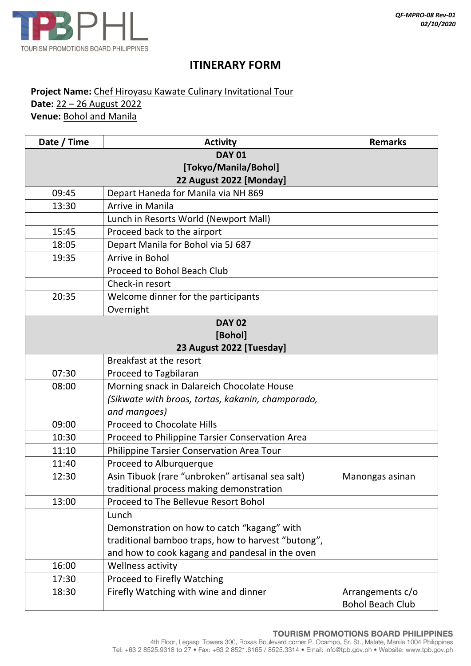

# **ITINERARY FORM**

## **Project Name:** Chef Hiroyasu Kawate Culinary Invitational Tour

**Date:** 22 – 26 August 2022

**Venue:** Bohol and Manila

| Date / Time              | <b>Activity</b>                                    | <b>Remarks</b>          |  |  |
|--------------------------|----------------------------------------------------|-------------------------|--|--|
|                          | <b>DAY 01</b>                                      |                         |  |  |
| [Tokyo/Manila/Bohol]     |                                                    |                         |  |  |
| 22 August 2022 [Monday]  |                                                    |                         |  |  |
| 09:45                    | Depart Haneda for Manila via NH 869                |                         |  |  |
| 13:30                    | Arrive in Manila                                   |                         |  |  |
|                          | Lunch in Resorts World (Newport Mall)              |                         |  |  |
| 15:45                    | Proceed back to the airport                        |                         |  |  |
| 18:05                    | Depart Manila for Bohol via 5J 687                 |                         |  |  |
| 19:35                    | Arrive in Bohol                                    |                         |  |  |
|                          | <b>Proceed to Bohol Beach Club</b>                 |                         |  |  |
|                          | Check-in resort                                    |                         |  |  |
| 20:35                    | Welcome dinner for the participants                |                         |  |  |
|                          | Overnight                                          |                         |  |  |
| <b>DAY 02</b>            |                                                    |                         |  |  |
|                          | [Bohol]                                            |                         |  |  |
| 23 August 2022 [Tuesday] |                                                    |                         |  |  |
|                          | Breakfast at the resort                            |                         |  |  |
| 07:30                    | Proceed to Tagbilaran                              |                         |  |  |
| 08:00                    | Morning snack in Dalareich Chocolate House         |                         |  |  |
|                          | (Sikwate with broas, tortas, kakanin, champorado,  |                         |  |  |
|                          | and mangoes)                                       |                         |  |  |
| 09:00                    | <b>Proceed to Chocolate Hills</b>                  |                         |  |  |
| 10:30                    | Proceed to Philippine Tarsier Conservation Area    |                         |  |  |
| 11:10                    | Philippine Tarsier Conservation Area Tour          |                         |  |  |
| 11:40                    | Proceed to Alburquerque                            |                         |  |  |
| 12:30                    | Asin Tibuok (rare "unbroken" artisanal sea salt)   | Manongas asinan         |  |  |
|                          | traditional process making demonstration           |                         |  |  |
| 13:00                    | Proceed to The Bellevue Resort Bohol               |                         |  |  |
|                          | Lunch                                              |                         |  |  |
|                          | Demonstration on how to catch "kagang" with        |                         |  |  |
|                          | traditional bamboo traps, how to harvest "butong", |                         |  |  |
|                          | and how to cook kagang and pandesal in the oven    |                         |  |  |
| 16:00                    | <b>Wellness activity</b>                           |                         |  |  |
| 17:30                    | Proceed to Firefly Watching                        |                         |  |  |
| 18:30                    | Firefly Watching with wine and dinner              | Arrangements c/o        |  |  |
|                          |                                                    | <b>Bohol Beach Club</b> |  |  |

#### **TOURISM PROMOTIONS BOARD PHILIPPINES**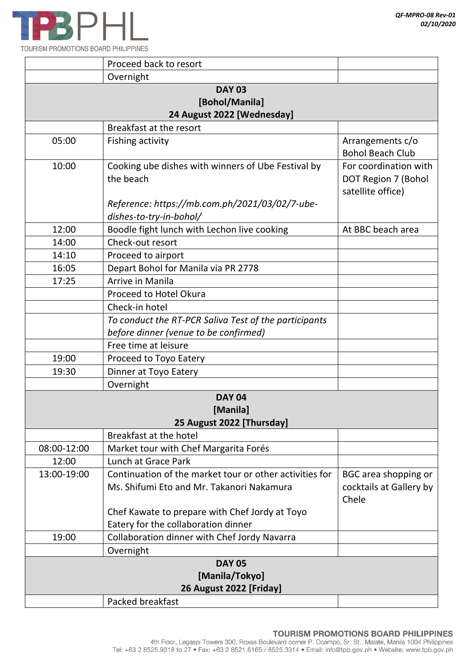

|                | To conduct the RT-PCR Saliva Test of the participants   |                         |  |  |
|----------------|---------------------------------------------------------|-------------------------|--|--|
|                | before dinner (venue to be confirmed)                   |                         |  |  |
|                | Free time at leisure                                    |                         |  |  |
| 19:00          | Proceed to Toyo Eatery                                  |                         |  |  |
| 19:30          | Dinner at Toyo Eatery                                   |                         |  |  |
|                | Overnight                                               |                         |  |  |
|                | <b>DAY 04</b>                                           |                         |  |  |
|                | [Manila]                                                |                         |  |  |
|                | 25 August 2022 [Thursday]                               |                         |  |  |
|                | Breakfast at the hotel                                  |                         |  |  |
| 08:00-12:00    | Market tour with Chef Margarita Forés                   |                         |  |  |
| 12:00          | Lunch at Grace Park                                     |                         |  |  |
| 13:00-19:00    | Continuation of the market tour or other activities for | BGC area shopping or    |  |  |
|                | Ms. Shifumi Eto and Mr. Takanori Nakamura               | cocktails at Gallery by |  |  |
|                |                                                         | Chele                   |  |  |
|                | Chef Kawate to prepare with Chef Jordy at Toyo          |                         |  |  |
|                | Eatery for the collaboration dinner                     |                         |  |  |
| 19:00          | Collaboration dinner with Chef Jordy Navarra            |                         |  |  |
|                | Overnight                                               |                         |  |  |
| <b>DAY 05</b>  |                                                         |                         |  |  |
| [Manila/Tokyo] |                                                         |                         |  |  |
|                | 26 August 2022 [Friday]                                 |                         |  |  |
|                | Packed breakfast                                        |                         |  |  |
|                |                                                         |                         |  |  |

#### TOURISM PROMOTIONS BOARD PHILIPPINES